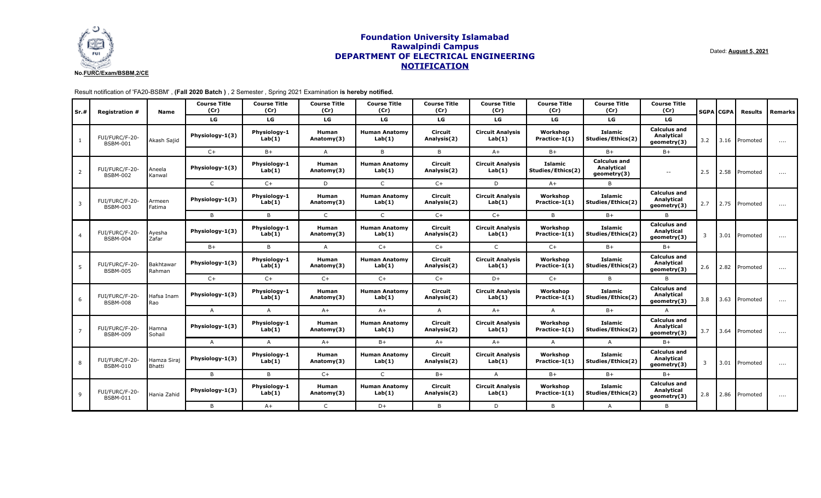

Dated: **August 5, 2021**

| Sr.#           | <b>Registration #</b>             | <b>Name</b>           | <b>Course Title</b><br>(Cr) | <b>Course Title</b><br>(Cr) | <b>Course Title</b><br>(Cr) | <b>Course Title</b><br>(Cr)    | <b>Course Title</b><br>(Cr) | <b>Course Title</b><br>(Cr)       | <b>Course Title</b><br>(Cr)         | <b>Course Title</b><br>(Cr)                      | <b>Course Title</b><br>(Cr)                      |     | <b>SGPA CGPA</b> | <b>Results</b>        | Remarks  |
|----------------|-----------------------------------|-----------------------|-----------------------------|-----------------------------|-----------------------------|--------------------------------|-----------------------------|-----------------------------------|-------------------------------------|--------------------------------------------------|--------------------------------------------------|-----|------------------|-----------------------|----------|
|                |                                   |                       | LG                          | LG                          | LG                          | LG                             | LG                          | LG                                | LG                                  | LG                                               | LG                                               |     |                  |                       |          |
|                | FUI/FURC/F-20-<br><b>BSBM-001</b> | Akash Sajid           | Physiology-1(3)             | Physiology-1<br>Lab(1)      | <b>Human</b><br>Anatomy(3)  | <b>Human Anatomy</b><br>Lab(1) | Circuit<br>Analysis(2)      | <b>Circuit Analysis</b><br>Lab(1) | Workshop<br>Practice-1(1)           | Islamic<br>Studies/Ethics(2)                     | <b>Calculus and</b><br>Analytical<br>geometry(3) | 3.2 |                  | $\vert$ 3.16 Promoted | $\cdots$ |
|                |                                   |                       | $C+$                        | $B+$                        | $\overline{A}$              | B                              | B                           | $A+$                              | $B+$                                | $B+$                                             | $B+$                                             |     |                  |                       |          |
| 2              | FUI/FURC/F-20-<br><b>BSBM-002</b> | Aneela<br>Kanwal      | Physiology-1(3)             | Physiology-1<br>Lab(1)      | <b>Human</b><br>Anatomy(3)  | <b>Human Anatomy</b><br>Lab(1) | Circuit<br>Analysis(2)      | <b>Circuit Analysis</b><br>Lab(1) | <b>Islamic</b><br>Studies/Ethics(2) | <b>Calculus and</b><br>Analytical<br>geometry(3) | $\sim$ $\sim$                                    | 2.5 | 2.58             | Promoted              | $\cdots$ |
|                |                                   |                       | $\mathsf{C}$                | $C+$                        | D                           | $\mathsf{C}$                   | $C+$                        | D                                 | $A+$                                | B                                                |                                                  |     |                  |                       |          |
| 3              | FUI/FURC/F-20-<br><b>BSBM-003</b> | Armeen<br>Fatima      | Physiology-1(3)             | Physiology-1<br>Lab(1)      | Human<br>Anatomy(3)         | <b>Human Anatomy</b><br>Lab(1) | Circuit<br>Analysis(2)      | <b>Circuit Analysis</b><br>Lab(1) | Workshop<br>Practice-1(1)           | Islamic<br>Studies/Ethics(2)                     | <b>Calculus and</b><br>Analytical<br>geometry(3) | 2.7 |                  | 2.75 Promoted         | $\cdots$ |
|                |                                   |                       | B                           | B                           | $\mathsf{C}$                | $\mathsf{C}$                   | $C+$                        | $C+$                              | B                                   | $B+$                                             | B.                                               |     |                  |                       |          |
| $\overline{4}$ | FUI/FURC/F-20-<br><b>BSBM-004</b> | Ayesha<br>Zafar       | Physiology-1(3)             | Physiology-1<br>Lab(1)      | <b>Human</b><br>Anatomy(3)  | Human Anatomv<br>Lab(1)        | Circuit<br>Analysis(2)      | <b>Circuit Analysis</b><br>Lab(1) | Workshop<br>Practice-1(1)           | Islamic<br>Studies/Ethics(2)                     | <b>Calculus and</b><br>Analytical<br>geometry(3) | 3   |                  | 3.01 Promoted         | $\cdots$ |
|                |                                   |                       | $B+$                        | B                           | $\overline{A}$              | $C+$                           | $C+$                        | $\mathsf{C}$                      | $C+$                                | $B+$                                             | $B+$                                             |     |                  |                       |          |
| 5              | FUI/FURC/F-20-<br><b>BSBM-005</b> | Bakhtawar<br>Rahman   | Physiology-1(3)             | Physiology-1<br>Lab(1)      | Human<br>Anatomy(3)         | <b>Human Anatomy</b><br>Lab(1) | Circuit<br>Analysis(2)      | <b>Circuit Analysis</b><br>Lab(1) | Workshop<br>Practice-1(1)           | Islamic<br>Studies/Ethics(2)                     | <b>Calculus and</b><br>Analytical<br>geometry(3) | 2.6 |                  | 2.82 Promoted         | $\cdots$ |
|                |                                   |                       | $C+$                        | $C+$                        | $C+$                        | $C+$                           | $C+$                        | $D+$                              | $C+$                                | B                                                | B                                                |     |                  |                       |          |
| 6              | FUI/FURC/F-20-<br><b>BSBM-008</b> | Hafsa Inam<br>Rao     | Physiology-1(3)             | Physiology-1<br>Lab(1)      | <b>Human</b><br>Anatomy(3)  | <b>Human Anatomy</b><br>Lab(1) | Circuit<br>Analysis(2)      | <b>Circuit Analysis</b><br>Lab(1) | Workshop<br>Practice-1(1)           | Islamic<br>Studies/Ethics(2)                     | <b>Calculus and</b><br>Analytical<br>geometry(3) | 3.8 |                  | 3.63 Promoted         | $\cdots$ |
|                |                                   |                       | $\mathsf{A}$                | $\overline{A}$              | $A+$                        | $A+$                           | $\overline{A}$              | $A+$                              | $\overline{A}$                      | $B+$                                             | $\overline{A}$                                   |     |                  |                       |          |
|                | FUI/FURC/F-20-<br><b>BSBM-009</b> | Hamna<br>Sohail       | Physiology-1(3)             | Physiology-1<br>Lab(1)      | <b>Human</b><br>Anatomy(3)  | <b>Human Anatomy</b><br>Lab(1) | Circuit<br>Analysis(2)      | <b>Circuit Analysis</b><br>Lab(1) | Workshop<br>Practice-1(1)           | <b>Islamic</b><br>Studies/Ethics(2)              | <b>Calculus and</b><br>Analytical<br>geometry(3) | 3.7 |                  | 3.64 Promoted         | $\cdots$ |
|                |                                   |                       | A                           | $\mathsf{A}$                | $A+$                        | $B+$                           | $A+$                        | $A+$                              | Α                                   | $\mathsf{A}$                                     | $B+$                                             |     |                  |                       |          |
| 8              | FUI/FURC/F-20-<br><b>BSBM-010</b> | Hamza Siraj<br>Bhatti | Physiology-1(3)             | Physiology-1<br>Lab(1)      | Human<br>Anatomy(3)         | <b>Human Anatomy</b><br>Lab(1) | Circuit<br>Analysis(2)      | <b>Circuit Analysis</b><br>Lab(1) | Workshop<br>Practice-1(1)           | Islamic<br>Studies/Ethics(2)                     | <b>Calculus and</b><br>Analytical<br>geometry(3) | 3   |                  | 3.01 Promoted         | .        |
|                |                                   |                       | B                           | B                           | $C+$                        | $\mathsf{C}$                   | $B+$                        | $\overline{A}$                    | $B+$                                | $B+$                                             | $B+$                                             |     |                  |                       |          |
| 9              | FUI/FURC/F-20-<br><b>BSBM-011</b> | Hania Zahid           | Physiology-1(3)             | Physiology-1<br>Lab(1)      | Human<br>Anatomy(3)         | <b>Human Anatomy</b><br>Lab(1) | Circuit<br>Analysis(2)      | <b>Circuit Analysis</b><br>Lab(1) | Workshop<br>Practice-1(1)           | <b>Islamic</b><br>Studies/Ethics(2)              | <b>Calculus and</b><br>Analytical<br>geometry(3) | 2.8 |                  | 2.86 Promoted         | $\cdots$ |
|                |                                   |                       | B                           | $A+$                        | $\mathsf{C}$                | $D+$                           | B                           | D                                 | B                                   | $\mathsf{A}$                                     | B                                                |     |                  |                       |          |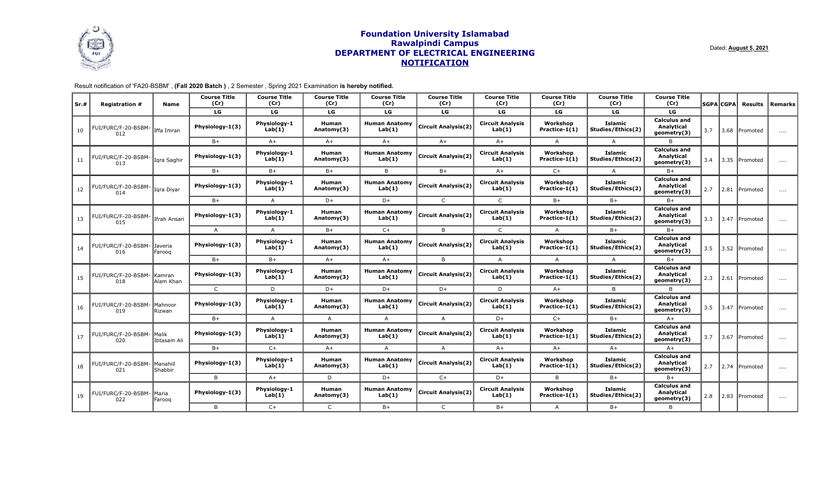

Dated: **August 5, 2021**

| Sr.# | <b>Registration #</b>      | Name                         | <b>Course Title</b><br>(Cr) | <b>Course Title</b><br>(Cr) | <b>Course Title</b><br>(Cr) | <b>Course Title</b><br>(Cr)    | <b>Course Title</b><br>(Cr) | <b>Course Title</b><br>(Cr)       | <b>Course Title</b><br>(Cr) | <b>Course Title</b><br>(Cr)         | <b>Course Title</b><br>(Cr)                             |     | SGPA CGPA | Results        | Remarks  |
|------|----------------------------|------------------------------|-----------------------------|-----------------------------|-----------------------------|--------------------------------|-----------------------------|-----------------------------------|-----------------------------|-------------------------------------|---------------------------------------------------------|-----|-----------|----------------|----------|
|      |                            |                              | LG.                         | LG                          | LG.                         | LG.                            | LG                          | LG.                               | LG                          | LG.                                 | LG.                                                     |     |           |                |          |
| 10   | FUI/FURC/F-20-BSBM<br>012  | Iffa Imran                   | Physiology-1(3)             | Physiology-1<br>Lab(1)      | <b>Human</b><br>Anatomy(3)  | <b>Human Anatomy</b><br>Lab(1) | <b>Circuit Analysis(2)</b>  | <b>Circuit Analysis</b><br>Lab(1) | Workshop<br>Practice-1(1)   | <b>Islamic</b><br>Studies/Ethics(2) | <b>Calculus and</b><br>Analytical<br>geometry(3)        | 3.7 |           | 3.68 Promoted  | $\cdots$ |
|      |                            |                              | $B+$                        | $A+$                        | $A+$                        | $A+$                           | $A+$                        | $A+$                              | $\mathsf{A}$                | $\overline{A}$                      | B                                                       |     |           |                |          |
| 11   | FUI/FURC/F-20-BSBM-<br>013 | Igra Saghir                  | Physiology-1(3)             | Physiology-1<br>Lab(1)      | Human<br>Anatomy(3)         | <b>Human Anatomy</b><br>Lab(1) | <b>Circuit Analysis(2)</b>  | <b>Circuit Analysis</b><br>Lab(1) | Workshop<br>Practice-1(1)   | Islamic<br>Studies/Ethics(2)        | <b>Calculus and</b><br><b>Analytical</b><br>geometry(3) | 3.4 |           | 3.35 IPromoted | $\cdots$ |
|      |                            |                              | $B+$                        | $B+$                        | $B+$                        | B.                             | $B+$                        | $A+$                              | $C+$                        | $\overline{A}$                      | $B+$                                                    |     |           |                |          |
| 12   | FUI/FURC/F-20-BSBM-<br>014 | Igra Diyar                   | Physiology-1(3)             | Physiology-1<br>Lab(1)      | Human<br>Anatomy(3)         | <b>Human Anatomy</b><br>Lab(1) | <b>Circuit Analysis(2)</b>  | <b>Circuit Analysis</b><br>Lab(1) | Workshop<br>Practice-1(1)   | <b>Islamic</b><br>Studies/Ethics(2) | <b>Calculus and</b><br>Analytical<br>qeometry(3)        | 2.7 |           | 2.81 Promoted  | $\cdots$ |
|      |                            |                              | $B+$                        | $\overline{A}$              | $D+$                        | D+                             | $\mathsf{C}$                | $\mathsf{C}$                      | $B+$                        | $B+$                                | $B +$                                                   |     |           |                |          |
| 13   | FUI/FURC/F-20-BSBM-<br>015 | Ifrah Ansari                 | Physiology-1(3)             | Physiology-1<br>Lab(1)      | <b>Human</b><br>Anatomy(3)  | <b>Human Anatomy</b><br>Lab(1) | <b>Circuit Analysis(2)</b>  | <b>Circuit Analysis</b><br>Lab(1) | Workshop<br>Practice-1(1)   | <b>Islamic</b><br>Studies/Ethics(2) | <b>Calculus and</b><br>Analytical<br>geometry(3)        | 3.3 |           | 3.47 Promoted  | $\cdots$ |
|      |                            |                              | $\mathsf{A}$                | $\overline{A}$              | $B+$                        | $C+$                           | B                           | $\mathsf{C}$                      | A                           | $B+$                                | $B+$                                                    |     |           |                |          |
| 14   | FUI/FURC/F-20-BSBM-<br>016 | Javeria<br>Faroog            | Physiology-1(3)             | Physiology-1<br>Lab(1)      | Human<br>Anatomy(3)         | <b>Human Anatomy</b><br>Lab(1) | <b>Circuit Analysis(2)</b>  | <b>Circuit Analysis</b><br>Lab(1) | Workshop<br>Practice-1(1)   | <b>Islamic</b><br>Studies/Ethics(2) | <b>Calculus and</b><br>Analytical<br>geometry(3)        | 3.5 |           | 3.52 Promoted  | $\cdots$ |
|      |                            |                              | $B+$                        | $B+$                        | $A+$                        | $A+$                           | B.                          | $\mathsf{A}$                      | A                           | $\mathsf{A}$                        | $B +$                                                   |     |           |                |          |
| 15   | FUI/FURC/F-20-BSBM-<br>018 | Kamran<br>Alam Khan          | Physiology-1(3)             | Physiology-1<br>Lab(1)      | <b>Human</b><br>Anatomy(3)  | <b>Human Anatomy</b><br>Lab(1) | <b>Circuit Analysis(2)</b>  | <b>Circuit Analysis</b><br>Lab(1) | Workshop<br>Practice-1(1)   | Islamic<br>Studies/Ethics(2)        | <b>Calculus and</b><br>Analytical<br>geometry(3)        | 2.3 | 2.61      | Promoted       | $\cdots$ |
|      |                            |                              | $\mathsf{C}$                | D                           | D+                          | D+                             | D+                          | D                                 | $A+$                        | B                                   | B                                                       |     |           |                |          |
| 16   | FUI/FURC/F-20-BSBM-<br>019 | Mahnoor<br>Rizwan            | Physiology-1(3)             | Physiology-1<br>Lab(1)      | Human<br>Anatomy(3)         | <b>Human Anatomy</b><br>Lab(1) | <b>Circuit Analysis(2)</b>  | <b>Circuit Analysis</b><br>Lab(1) | Workshop<br>Practice-1(1)   | <b>Islamic</b><br>Studies/Ethics(2) | <b>Calculus and</b><br>Analytical<br>geometry(3)        | 3.5 |           | 3.47 Promoted  | $\cdots$ |
|      |                            |                              | $B+$                        | $\mathsf{A}$                | A                           | $\overline{A}$                 | $\mathsf{A}$                | $D+$                              | $C+$                        | $B+$                                | $A+$                                                    |     |           |                |          |
| 17   | FUI/FURC/F-20-BSBM-<br>020 | lMalik<br>Ibtasam Ali        | Physiology-1(3)             | Physiology-1<br>Lab(1)      | Human<br>Anatomy(3)         | <b>Human Anatomy</b><br>Lab(1) | <b>Circuit Analysis(2)</b>  | <b>Circuit Analysis</b><br>Lab(1) | Workshop<br>Practice-1(1)   | Islamic<br>Studies/Ethics(2)        | <b>Calculus and</b><br>Analytical<br>geometry(3)        | 3.7 |           | 3.67 Promoted  | $\cdots$ |
|      |                            |                              | $B+$                        | $C+$                        | $A+$                        | $\overline{A}$                 | A                           | $A+$                              | $A+$                        | $A+$                                | $A+$                                                    |     |           |                |          |
| 18   | FUI/FURC/F-20-BSBM-<br>021 | <b>I</b> Manahill<br>Shabbir | Physiology-1(3)             | Physiology-1<br>Lab(1)      | Human<br>Anatomy(3)         | <b>Human Anatomy</b><br>Lab(1) | <b>Circuit Analysis(2)</b>  | <b>Circuit Analysis</b><br>Lab(1) | Workshop<br>Practice-1(1)   | Islamic<br>Studies/Ethics(2)        | Calculus and<br>Analytical<br>geometry(3)               | 2.7 |           | 2.74 Promoted  | $\cdots$ |
|      |                            |                              | B                           | $A+$                        | D                           | D+                             | $C+$                        | $D+$                              | B                           | $B+$                                | $B+$                                                    |     |           |                |          |
| 19   | FUI/FURC/F-20-BSBM-<br>022 | lMaria<br>Faroog             | Physiology-1(3)             | Physiology-1<br>Lab(1)      | Human<br>Anatomy(3)         | <b>Human Anatomy</b><br>Lab(1) | <b>Circuit Analysis(2)</b>  | <b>Circuit Analysis</b><br>Lab(1) | Workshop<br>Practice-1(1)   | Islamic<br>Studies/Ethics(2)        | <b>Calculus and</b><br>Analytical<br>geometry(3)        | 2.8 |           | 2.83 Promoted  | $\cdots$ |
|      |                            |                              | B                           | $C+$                        | $\mathsf{C}$                | $B +$                          | $\mathsf{C}$                | $B+$                              | A                           | $B+$                                | $\overline{B}$                                          |     |           |                |          |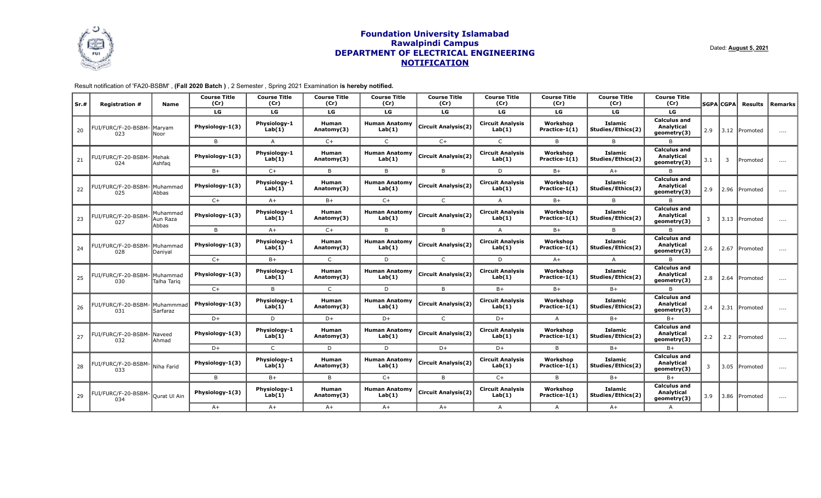

Dated: **August 5, 2021**

| Sr.# | <b>Registration #</b>                 | Name                           | <b>Course Title</b><br>(Cr) | <b>Course Title</b><br>(Cr) | <b>Course Title</b><br>(Cr) | <b>Course Title</b><br>(Cr)    | <b>Course Title</b><br>(Cr) | <b>Course Title</b><br>(Cr)       | <b>Course Title</b><br>(Cr) | <b>Course Title</b><br>(Cr)         | <b>Course Title</b><br>(Cr)                             |     | <b>SGPA</b> CGPA | Results       | Remarks  |
|------|---------------------------------------|--------------------------------|-----------------------------|-----------------------------|-----------------------------|--------------------------------|-----------------------------|-----------------------------------|-----------------------------|-------------------------------------|---------------------------------------------------------|-----|------------------|---------------|----------|
|      |                                       |                                | LG                          | LG                          | LG                          | LG                             | LG                          | LG                                | LG                          | LG                                  | LG                                                      |     |                  |               |          |
| 20   | FUI/FURC/F-20-BSBM<br>023             | Maryam<br>Noor                 | Physiology-1(3)             | Physiology-1<br>Lab(1)      | <b>Human</b><br>Anatomy(3)  | <b>Human Anatomy</b><br>Lab(1) | <b>Circuit Analysis(2)</b>  | <b>Circuit Analysis</b><br>Lab(1) | Workshop<br>Practice-1(1)   | <b>Islamic</b><br>Studies/Ethics(2) | <b>Calculus and</b><br>Analytical<br>geometry(3)        | 2.9 | 3.12 Promoted    |               | .        |
|      |                                       |                                | B                           | $\mathsf{A}$                | $C+$                        | $\mathsf{C}$                   | $C++$                       | $\mathsf{C}$                      | B                           | <sub>B</sub>                        | $\overline{B}$                                          |     |                  |               |          |
| 21   | FUI/FURC/F-20-BSBM-<br>024            | lMehak<br>lAshfag              | Physiology-1(3)             | Physiology-1<br>Lab(1)      | Human<br>Anatomy(3)         | <b>Human Anatomy</b><br>Lab(1) | <b>Circuit Analysis(2)</b>  | <b>Circuit Analysis</b><br>Lab(1) | Workshop<br>Practice-1(1)   | <b>Islamic</b><br>Studies/Ethics(2) | <b>Calculus and</b><br>Analytical<br>geometry(3)        | 3.1 | 3                | Promoted      | $\cdots$ |
|      |                                       |                                | $B+$                        | $C+$                        | $\overline{B}$              | B                              | B                           | D                                 | $B+$                        | $A+$                                | $\overline{B}$                                          |     |                  |               |          |
| 22   | FUI/FURC/F-20-BSBM-<br>025            | Muhammad<br>Abbas              | Physiology-1(3)             | Physiology-1<br>Lab(1)      | Human<br>Anatomy(3)         | <b>Human Anatomy</b><br>Lab(1) | <b>Circuit Analysis(2)</b>  | <b>Circuit Analysis</b><br>Lab(1) | Workshop<br>Practice-1(1)   | <b>Islamic</b><br>Studies/Ethics(2) | Calculus and<br>Analytical<br>geometry(3)               | 2.9 |                  | 2.96 Promoted |          |
|      |                                       |                                | $C+$                        | $A+$                        | $B+$                        | $C+$                           | $\mathsf{C}$                | $\mathsf{A}$                      | $B+$                        | B.                                  | <b>B</b>                                                |     |                  |               |          |
| 23   | FUI/FURC/F-20-BSBM<br>027             | Muhammad<br>Aun Raza<br>lAbbas | Physiology-1(3)             | Physiology-1<br>Lab(1)      | Human<br>Anatomy(3)         | <b>Human Anatomy</b><br>Lab(1) | <b>Circuit Analysis(2)</b>  | <b>Circuit Analysis</b><br>Lab(1) | Workshop<br>Practice-1(1)   | <b>Islamic</b><br>Studies/Ethics(2) | <b>Calculus and</b><br>Analytical<br>geometry(3)        | 3   |                  | 3.13 Promoted | $\cdots$ |
|      |                                       |                                | B                           | $A+$                        | $C+$                        | B                              | B                           | $\overline{A}$                    | $B+$                        | B                                   | $\overline{B}$                                          |     |                  |               |          |
| 24   | FUI/FURC/F-20-BSBM-<br>028            | Muhammad<br>Daniyal            | Physiology-1(3)             | Physiology-1<br>Lab(1)      | Human<br>Anatomy(3)         | <b>Human Anatomy</b><br>Lab(1) | <b>Circuit Analysis(2)</b>  | <b>Circuit Analysis</b><br>Lab(1) | Workshop<br>Practice-1(1)   | <b>Islamic</b><br>Studies/Ethics(2) | <b>Calculus and</b><br><b>Analytical</b><br>geometry(3) | 2.6 | 2.67             | Promoted      | $\cdots$ |
|      |                                       |                                | $C+$                        | $B+$                        | $\mathsf{C}$                | D                              | $\mathsf{C}$                | D                                 | $A+$                        | $\mathsf{A}$                        | B                                                       |     |                  |               |          |
| 25   | FUI/FURC/F-20-BSBM- Muhammad<br>030   | Talha Tarig                    | Physiology-1(3)             | Physiology-1<br>Lab(1)      | Human<br>Anatomy(3)         | <b>Human Anatomy</b><br>Lab(1) | <b>Circuit Analysis(2)</b>  | <b>Circuit Analysis</b><br>Lab(1) | Workshop<br>Practice-1(1)   | <b>Islamic</b><br>Studies/Ethics(2) | <b>Calculus and</b><br>Analytical<br>geometry(3)        | 2.8 |                  | 2.64 Promoted | $\cdots$ |
|      |                                       |                                | $C+$                        | B                           | $\mathsf{C}$                | D                              | B                           | $B+$                              | $B+$                        | $B+$                                | $\overline{B}$                                          |     |                  |               |          |
| 26   | FUI/FURC/F-20-BSBM- Muhammmad<br>031  | Sarfaraz                       | Physiology-1(3)             | Physiology-1<br>Lab(1)      | Human<br>Anatomy(3)         | <b>Human Anatomy</b><br>Lab(1) | <b>Circuit Analysis(2)</b>  | <b>Circuit Analysis</b><br>Lab(1) | Workshop<br>Practice-1(1)   | <b>Islamic</b><br>Studies/Ethics(2) | Calculus and<br>Analytical<br>geometry(3)               | 2.4 |                  | 2.31 Promoted | $\cdots$ |
|      |                                       |                                | $D+$                        | D                           | D+                          | D+                             | $\mathsf{C}$                | $D+$                              | A                           | $B+$                                | $B+$                                                    |     |                  |               |          |
| 27   | FUI/FURC/F-20-BSBM- Naveed<br>032     | lAhmad                         | Physiology-1(3)             | Physiology-1<br>Lab(1)      | Human<br>Anatomy(3)         | <b>Human Anatomy</b><br>Lab(1) | <b>Circuit Analysis(2)</b>  | <b>Circuit Analysis</b><br>Lab(1) | Workshop<br>Practice-1(1)   | Islamic<br>Studies/Ethics(2)        | <b>Calculus and</b><br>Analytical<br>geometry(3)        | 2.2 | 2.2              | Promoted      | $\cdots$ |
|      |                                       |                                | $D+$                        | $\mathsf{C}$                | D<br>D                      | D+                             | D+                          | B                                 | $B+$                        | $B+$                                |                                                         |     |                  |               |          |
| 28   | FUI/FURC/F-20-BSBM- Niha Farid<br>033 |                                | Physiology-1(3)             | Physiology-1<br>Lab(1)      | <b>Human</b><br>Anatomy(3)  | <b>Human Anatomy</b><br>Lab(1) | <b>Circuit Analysis(2)</b>  | <b>Circuit Analysis</b><br>Lab(1) | Workshop<br>Practice-1(1)   | Islamic<br>Studies/Ethics(2)        | <b>Calculus and</b><br>Analytical<br>geometry(3)        | 3   |                  | 3.05 Promoted | $\cdots$ |
|      |                                       |                                | B.                          | $B+$                        | B                           | $C+$                           | B                           | $C+$                              | B                           | $B+$                                | $B+$                                                    |     |                  |               |          |
| 29   | FUI/FURC/F-20-BSBM-<br>034            | Qurat Ul Ain                   | Physiology-1(3)             | Physiology-1<br>Lab(1)      | Human<br>Anatomy(3)         | <b>Human Anatomy</b><br>Lab(1) | <b>Circuit Analysis(2)</b>  | <b>Circuit Analysis</b><br>Lab(1) | Workshop<br>Practice-1(1)   | Islamic<br>Studies/Ethics(2)        | Calculus and<br>Analytical<br>geometry(3)               | 3.9 |                  | 3.86 Promoted | $\cdots$ |
|      |                                       |                                | $A+$                        | $A+$                        | $A+$                        | $A+$                           | $A+$                        | $\overline{A}$                    | $\mathsf{A}$                | $A+$                                | $\overline{A}$                                          |     |                  |               |          |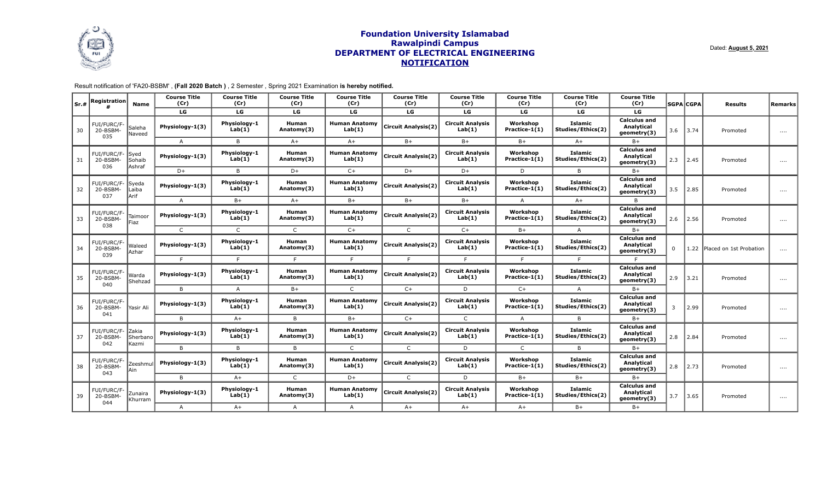

Dated: **August 5, 2021**

| Sr.# | <b>Registration</b>            | <b>Name</b>                        | <b>Course Title</b><br>(Cr) | <b>Course Title</b><br>(Cr)                                                                                                                                                     | <b>Course Title</b><br>(Cr) | <b>Course Title</b><br>(Cr)         | <b>Course Title</b><br>(Cr)                      | <b>Course Title</b><br>(Cr)       | <b>Course Title</b><br>(Cr) | <b>Course Title</b><br>(Cr)         | <b>Course Title</b><br>(Cr)                      |     | <b>SGPA CGPA</b> | <b>Results</b>               | <b>Remarks</b> |
|------|--------------------------------|------------------------------------|-----------------------------|---------------------------------------------------------------------------------------------------------------------------------------------------------------------------------|-----------------------------|-------------------------------------|--------------------------------------------------|-----------------------------------|-----------------------------|-------------------------------------|--------------------------------------------------|-----|------------------|------------------------------|----------------|
|      |                                |                                    | LG                          | LG                                                                                                                                                                              | LG                          | LG                                  | LG                                               | LG                                | LG                          | LG                                  | LG                                               |     |                  |                              |                |
| 30   | FUI/FURC/F-<br>20-BSBM-<br>035 | Saleha<br>Naveed                   | Physiology-1(3)             | Physiology-1<br>Lab(1)                                                                                                                                                          | Human<br>Anatomy(3)         | <b>Human Anatomy</b><br>Lab(1)      | <b>Circuit Analysis(2)</b>                       | <b>Circuit Analysis</b><br>Lab(1) | Workshop<br>Practice-1(1)   | <b>Islamic</b><br>Studies/Ethics(2) | <b>Calculus and</b><br>Analytical<br>geometry(3) | 3.6 | 3.74             | Promoted                     | $\cdots$       |
|      |                                |                                    | $\overline{A}$              | B                                                                                                                                                                               | $A+$                        | $A+$                                | $B+$                                             | $B+$                              | $B+$                        | $A+$                                | B+                                               |     |                  |                              |                |
| 31   | FUI/FURC/F-<br>20-BSBM-<br>036 | <b>Syed</b><br>Sohaib<br>Ashraf    | Physiology-1(3)             | Physiology-1<br>Lab(1)                                                                                                                                                          | Human<br>Anatomy(3)         | <b>Human Anatomy</b><br>Lab(1)      | <b>Circuit Analysis(2)</b>                       | <b>Circuit Analysis</b><br>Lab(1) | Workshop<br>Practice-1(1)   | <b>Islamic</b><br>Studies/Ethics(2) | <b>Calculus and</b><br>Analytical<br>geometry(3) | 2.3 | 2.45             | Promoted                     | $\cdots$       |
|      |                                |                                    | $D+$                        | B                                                                                                                                                                               | $D+$                        | $C+$                                | $D+$                                             | $D+$                              | D                           | B                                   | B+                                               |     |                  |                              |                |
| 32   | FUI/FURC/F-<br>20-BSBM-<br>037 | Syeda<br>Laiba<br>Arif             | Physiology-1(3)             | Physiology-1<br>Lab(1)                                                                                                                                                          | <b>Human</b><br>Anatomy(3)  | <b>Human Anatomy</b><br>Lab(1)      | <b>Circuit Analysis(2)</b>                       | <b>Circuit Analysis</b><br>Lab(1) | Workshop<br>Practice-1(1)   | <b>Islamic</b><br>Studies/Ethics(2) | <b>Calculus and</b><br>Analytical<br>geometry(3) | 3.5 | 2.85             | Promoted                     | $\cdots$       |
|      |                                |                                    | $\overline{A}$              | $B+$                                                                                                                                                                            | $A+$                        | $B+$                                | $B+$                                             | $B+$                              | $\mathsf{A}$                | $A+$                                | $\overline{B}$                                   |     |                  |                              |                |
| 33   | FUI/FURC/F<br>20-BSBM-         | Taimoor<br>Fiaz                    | Physiology-1(3)             | Physiology-1<br>Lab(1)                                                                                                                                                          | Human<br>Anatomy(3)         | <b>Human Anatomy</b><br>Lab(1)      | <b>Circuit Analysis(2)</b>                       | <b>Circuit Analysis</b><br>Lab(1) | Workshop<br>Practice-1(1)   | <b>Islamic</b><br>Studies/Ethics(2) | <b>Calculus and</b><br>Analytical<br>geometry(3) | 2.6 | 2.56             | Promoted                     | $\cdots$       |
|      | 038                            |                                    | $\mathsf{C}$                | $\mathsf{C}$                                                                                                                                                                    | $\mathsf{C}$                | $C+$                                | $\mathsf{C}$                                     | $C+$                              | $B+$                        | $\mathsf{A}$                        | $B+$                                             |     |                  |                              |                |
| 34   | FUI/FURC/F<br>20-BSBM-<br>039  | Waleed<br>Azhar                    | Physiology-1(3)             | Physiology-1<br>Lab(1)                                                                                                                                                          | <b>Human</b><br>Anatomy(3)  | <b>Human Anatomy</b><br>Lab(1)      | <b>Circuit Analysis(2)</b>                       | <b>Circuit Analysis</b><br>Lab(1) | Workshop<br>Practice-1(1)   | <b>Islamic</b><br>Studies/Ethics(2) | <b>Calculus and</b><br>Analytical<br>geometry(3) | 0   |                  | 1.22 Placed on 1st Probation | $\ldots$       |
|      |                                |                                    | E                           | F                                                                                                                                                                               | F.                          | F                                   | F.                                               | F                                 | F.                          | E                                   | F.                                               |     |                  |                              |                |
| 35   | FUI/FURC/F<br>20-BSBM-<br>040  | Warda<br>Shehzad                   | Physiology-1(3)             | Physiology-1<br>Lab(1)                                                                                                                                                          | Human<br>Anatomy(3)         | <b>Human Anatomy</b><br>Lab(1)      | <b>Circuit Analysis(2)</b>                       | <b>Circuit Analysis</b><br>Lab(1) | Workshop<br>Practice-1(1)   | <b>Islamic</b><br>Studies/Ethics(2) | <b>Calculus and</b><br>Analytical<br>geometry(3) | 2.9 | 3.21             | Promoted                     | $\cdots$       |
|      |                                |                                    | B                           | $\overline{A}$                                                                                                                                                                  | $B+$                        | $\mathsf{C}$                        | $C+$                                             | D                                 | $C+$                        | A                                   | $B+$                                             |     |                  |                              |                |
| 36   | FUI/FURC/F-<br>20-BSBM-<br>041 | Yasir Ali                          | Physiology-1(3)             | Physiology-1<br>Human<br><b>Circuit Analysis</b><br>Workshop<br><b>Human Anatomy</b><br><b>Circuit Analysis(2)</b><br>Lab(1)<br>Anatomy(3)<br>Lab(1)<br>Lab(1)<br>Practice-1(1) |                             | <b>Islamic</b><br>Studies/Ethics(2) | <b>Calculus and</b><br>Analytical<br>geometry(3) | 3                                 | 2.99                        | Promoted                            | $\cdots$                                         |     |                  |                              |                |
|      |                                |                                    | B                           | $A+$                                                                                                                                                                            | B                           | $B+$                                | $C+$                                             | $\mathsf{C}$                      | $\mathsf{A}$                | <sub>B</sub>                        | B+                                               |     |                  |                              |                |
| 37   | FUI/FURC/F-<br>20-BSBM-<br>042 | <b>IZakia</b><br>Sherbano<br>Kazmi | Physiology-1(3)             | Physiology-1<br>Lab(1)                                                                                                                                                          | Human<br>Anatomy(3)         | <b>Human Anatomy</b><br>Lab(1)      | <b>Circuit Analysis(2)</b>                       | <b>Circuit Analysis</b><br>Lab(1) | Workshop<br>Practice-1(1)   | <b>Islamic</b><br>Studies/Ethics(2) | <b>Calculus and</b><br>Analytical<br>geometry(3) | 2.8 | 2.84             | Promoted                     | $\cdots$       |
|      |                                |                                    | B                           | B                                                                                                                                                                               | B                           | $\mathsf{C}$                        | $\mathsf{C}$                                     | D                                 | $\mathsf{C}$                | B                                   | $B+$                                             |     |                  |                              |                |
| 38   | FUI/FURC/F<br>20-BSBM-<br>043  | Zeeshmul<br> Ain                   | Physiology-1(3)             | Physiology-1<br>Lab(1)                                                                                                                                                          | Human<br>Anatomy(3)         | <b>Human Anatomy</b><br>Lab(1)      | <b>Circuit Analysis(2)</b>                       | <b>Circuit Analysis</b><br>Lab(1) | Workshop<br>Practice-1(1)   | <b>Islamic</b><br>Studies/Ethics(2) | <b>Calculus and</b><br>Analytical<br>geometry(3) | 2.8 | 2.73             | Promoted                     | $\cdots$       |
|      |                                |                                    | B                           | $A+$                                                                                                                                                                            | $\mathsf{C}$                | $D+$                                | $\mathsf{C}$                                     | D                                 | $B+$                        | $B+$                                | $B+$                                             |     |                  |                              |                |
| 39   | FUI/FURC/F-<br>20-BSBM<br>044  | Zunaira<br>Khurram                 | Physiology-1(3)             | Physiology-1<br>Lab(1)                                                                                                                                                          | <b>Human</b><br>Anatomy(3)  | <b>Human Anatomy</b><br>Lab(1)      | <b>Circuit Analysis(2)</b>                       | <b>Circuit Analysis</b><br>Lab(1) | Workshop<br>Practice-1(1)   | Islamic<br>Studies/Ethics(2)        | <b>Calculus and</b><br>Analytical<br>geometry(3) | 3.7 | 3.65             | Promotec                     | $\cdots$       |
|      |                                |                                    | $\mathsf{A}$                | $A+$                                                                                                                                                                            | $\mathsf{A}$                | $\mathsf{A}$                        | $A+$                                             | $A+$                              | $A+$                        | $B+$                                | $B+$                                             |     |                  |                              |                |